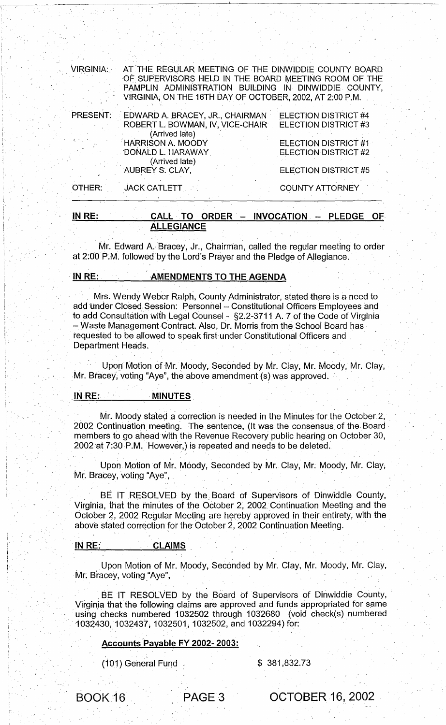| IN RE:<br>CALL TO ORDER - INVOCATION<br>- PLEDGE<br>OF. |                                                                                                                                                                                                                                  |                                                            |
|---------------------------------------------------------|----------------------------------------------------------------------------------------------------------------------------------------------------------------------------------------------------------------------------------|------------------------------------------------------------|
| OTHER:                                                  | <b>JACK CATLETT</b>                                                                                                                                                                                                              | <b>COUNTY ATTORNEY</b>                                     |
|                                                         | AUBREY S. CLAY,                                                                                                                                                                                                                  | ELECTION DISTRICT #5                                       |
|                                                         | <b>HARRISON A. MOODY</b><br>DONALD L. HARAWAY<br>(Arrived late)                                                                                                                                                                  | <b>ELECTION DISTRICT #1</b><br><b>ELECTION DISTRICT #2</b> |
|                                                         | (Arrived late)                                                                                                                                                                                                                   |                                                            |
|                                                         | EDWARD A. BRACEY, JR., CHAIRMAN ELECTION DISTRICT #4<br>ROBERT L. BOWMAN, IV, VICE-CHAIR ELECTION DISTRICT #3                                                                                                                    |                                                            |
| PRESENT:                                                |                                                                                                                                                                                                                                  |                                                            |
| VIRGINIA:                                               | AT THE REGULAR MEETING OF THE DINWIDDIE COUNTY BOARD<br>OF SUPERVISORS HELD IN THE BOARD MEETING ROOM OF THE<br>PAMPLIN ADMINISTRATION BUILDING IN DINWIDDIE COUNTY,<br>VIRGINIA, ON THE 16TH DAY OF OCTOBER, 2002, AT 2:00 P.M. |                                                            |
|                                                         |                                                                                                                                                                                                                                  |                                                            |

'1-

Mr. Edward A. Bracey, Jr., Chairman, called the regular meeting to order at 2:00 P.M. followed 'by the Lord's Prayer and the Pledge of Allegiance.

## IN RE: **AMENDMENTS TO THE AGENDA**

, , , , ,

**ALLEGIANCE** 

Mrs. Wendy Weber Ralph, County Administrator, stated there is a need to add under Closed Session: Personnel - Constitutional Officers Employees and to add Consultation With Legal Counsel - §2.2-3711 A. 7 of the Code of Virginia - Waste Management Contract. Also, Dr. Morris from the School Board has requested to be allowed to speak first under Constitutional Officers and " Department Heads.

Upon Motion of Mr. Moody, Seconded by Mr. Clay, Mr. Moody, Mr. Clay, Mr. Bracey, voting "Aye", the above amendment (s) was approved.

#### IN RE: MINUTES

I'

: '

 $\sim$  '

I ,

i ' )' . i '

> Mr. Moody stated a correction is needed in the Minutes for the October 2, 2002 Continuation meeting. The sentence, (It was the consensus of the, Board members to go ahead with the Revenue Recovery public hearing on October 30, 2002 at 7:30 P.M. However,) is repeated and needs to be deleted.

, "The contract of the contract of the contract of the contract of the contract of the contract of the contract of

Upon Motion of Mr. Moody, Seconded by Mr. Clay, Mr: Moody, Mr. Clay; Mr. Bracey, voting "Aye",

BE IT RESOLVED by the Board of Supervisors of Dinwiddie County, Virginia, that the minutes of the OCtober 2, 2002 Continuation Meeting and the October 2, 2002 Regular Meeting are hereby approved in their entirety, with the above stated correction for the October 2, 2002 Continuation Meeting.

# 'IN RE: CLAIMS

Upon Motion of Mr. Moody, Seconded by Mr. Clay, Mr. Moody, Mr. Clay, Mr. Bracey, voting "Aye",

BE IT RESOLVED by the Board of Supervisors of Dinwiddie County, Virginia that the following claims are approved and funds appropriated for same using checks numbered 1032502 through 1032680 (void check(s) numbered 1032430, 1032437, 1032501, 1032502, and 1032294) for:

#### Accounts 'Payable FY 2002- 2003:

(101) General Fund \$ 381,832.73

BOOK 16 PAGE 3 OCTOBER 16, 2002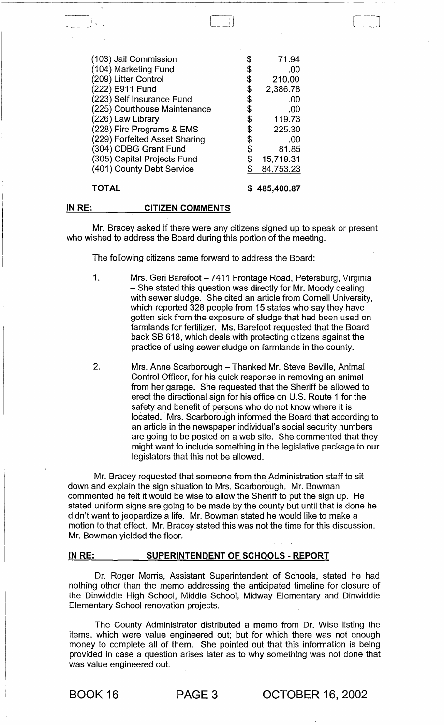| (103) Jail Commission                                    | \$ | 71.94                  |
|----------------------------------------------------------|----|------------------------|
| (104) Marketing Fund                                     | \$ | .00                    |
| (209) Litter Control                                     | \$ | 210.00                 |
| (222) E911 Fund                                          | \$ | 2,386.78               |
| (223) Self Insurance Fund                                | \$ | .00                    |
| (225) Courthouse Maintenance                             | \$ | .00                    |
| (226) Law Library                                        | S  | 119.73                 |
| (228) Fire Programs & EMS                                | S  | 225.30                 |
| (229) Forfeited Asset Sharing                            | \$ | .00                    |
| (304) CDBG Grant Fund                                    | \$ | 81.85                  |
| (305) Capital Projects Fund<br>(401) County Debt Service | \$ | 15,719.31<br>84,753.23 |
| TOTAL                                                    |    | 485,400.87             |

#### IN RE: CITIZEN COMMENTS

Mr. Bracey asked if there were any citizens signed up to speak or present who wished to address the Board during this portion of the meeting.

The following citizens came forward to address the Board:

- 1. Mrs. Geri Barefoot 7411 Frontage Road, Petersburg, Virginia - She stated this question was directly for Mr. Moody dealing with sewer sludge. She cited an article from Cornell University, which reported 328 people from 15 states who say they have gotten sick from the exposure of sludge that had been used on farmlands for fertilizer. Ms. Barefoot requested that the Board back SB 618, which deals with protecting citizens against the practice of using sewer sludge on farmlands in the county.
- 2. Mrs. Anne Scarborough Thanked Mr. Steve Beville, Animal Control Officer, for his quick response in removing an animal from her garage. She requested that the Sheriff be allowed to erect the directional sign for his office on U.S. Route 1 for the safety and benefit of persons who do not know where it is located. Mrs. Scarborough informed the Board that according to an article in the newspaper individual's social security numbers are going to be posted on a web site. She commented that they might want to include something in the legislative package to our legislators that this not be allowed.

Mr. Bracey requested that someone from the Administration staff to sit down and explain the sign situation to Mrs. Scarborough. Mr. Bowman commented he felt it would be wise to allow the Sheriff to put the sign up. He stated uniform signs are going to be made by the county but until that is done he didn't want to jeopardize a life. Mr. Bowman stated he would like to make a motion to that effect. Mr. Bracey stated this was not the time for this discussion. Mr. Bowman yielded the floor.

## IN RE: SUPERINTENDENT OF SCHOOLS - REPORT

Dr. Roger Morris, Assistant Superintendent of Schools, stated he had nothing other than the memo addressing the anticipated timeline for closure of the Dinwiddie High School, Middle School, Midway Elementary and Dinwiddie Elementary School renovation projects.

The County Administrator distributed a memo from Dr. Wise listing the items, which were value engineered out; but for which there was not enough money to complete all of them. She pointed out that this information is being provided in case a question arises later as to why something was not done that was value engineered out.

BOOK 16 PAGE 3 OCTOBER 16, 2002

C]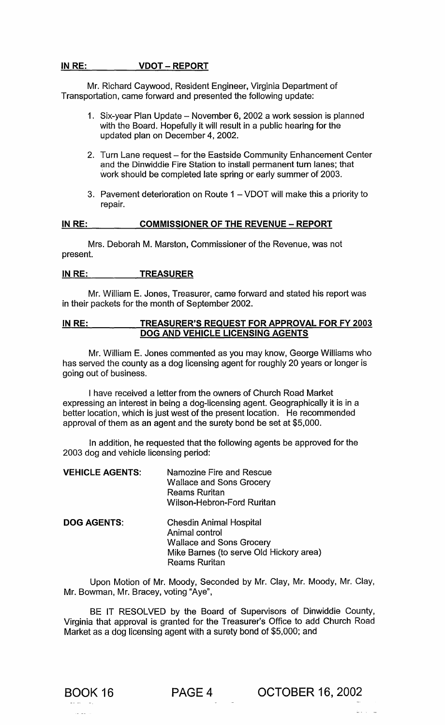# IN RE: VDOT - REPORT

Mr. Richard Caywood, Resident Engineer, Virginia Department of Transportation, came forward and presented the following update:

- 1. Six-year Plan Update November 6, 2002 a work session is planned with the Board. Hopefully it will result in a public hearing for the updated plan on December 4, 2002.
- 2. Turn Lane request for the Eastside Community Enhancement Center and the Dinwiddie Fire Station to install permanent turn lanes; that work should be completed late spring or early summer of 2003.
- 3. Pavement deterioration on Route 1 VDOT will make this a priority to repair.

#### IN RE: COMMISSIONER OF THE REVENUE - REPORT

Mrs. Deborah M. Marston, Commissioner of the Revenue, was not present.

# IN RE: TREASURER

Mr. William E. Jones, Treasurer, came forward and stated his report was in their packets for the month of September 2002.

# IN RE: TREASURER'S REQUEST FOR APPROVAL FOR FY 2003 DOG AND VEHICLE LICENSING AGENTS

Mr. William E. Jones commented as you may know, George Williams who has served the county as a dog licensing agent for roughly 20 years or longer is going out of business.

I have received a letter from the owners of Church Road Market expressing an interest in being a dog-licensing agent. Geographically it is in a better location, which is just west of the present location. He recommended approval of them as an agent and the surety bond be set at \$5,000.

In addition, he requested that the following agents be approved for the 2003 dog and vehicle licensing period:

| <b>VEHICLE AGENTS:</b> | Namozine Fire and Rescue<br><b>Wallace and Sons Grocery</b><br><b>Reams Ruritan</b><br>Wilson-Hebron-Ford Ruritan                                      |
|------------------------|--------------------------------------------------------------------------------------------------------------------------------------------------------|
| <b>DOG AGENTS:</b>     | <b>Chesdin Animal Hospital</b><br>Animal control<br><b>Wallace and Sons Grocery</b><br>Mike Barnes (to serve Old Hickory area)<br><b>Reams Ruritan</b> |

Upon Motion of Mr. Moody, Seconded by Mr. Clay, Mr. Moody, Mr. Clay, Mr. Bowman, Mr. Bracey, voting "Aye",

BE IT RESOLVED by the Board of Supervisors of Dinwiddie County, Virginia that approval is granted for the Treasurer's Office to add Church Road Market as a dog licensing agent with a surety bond of \$5,000; and



BOOK 16 PAGE 4 OCTOBER 16, 2002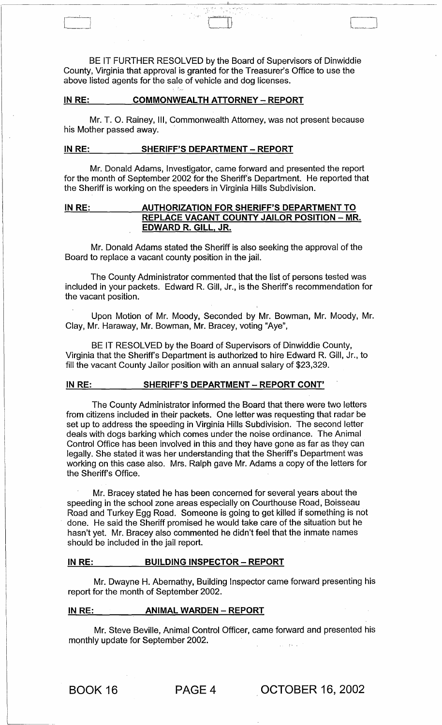BE IT FURTHER RESOLVED by the Board of Supervisors of Dinwiddie County, Virginia that approval is granted for the Treasurer's Office to use the above listed agents for the sale of vehicle and dog licenses.

[\_~' I L\_~. <sup>j</sup>

# **IN RE: COMMONWEALTH ATTORNEY - REPORT**

Mr. T. O. Rainey, III, Commonwealth Attorney, was not present because his Mother passed away.

# **IN RE:** SHERIFF'S DEPARTMENT - REPORT

Mr. Donald Adams, Investigator, came forward and presented the report for the month of September 2002 for the Sheriff's Department. He reported that the Sheriff is working on the speeders in Virginia Hills Subdivision.

# IN RE: AUTHORIZATION FOR SHERIFF'S DEPARTMENT TO **REPLACE VACANT COUNTY JAILOR POSITION - MR. EDWARD R. GILL, JR.**

Mr. Donald Adams stated the Sheriff is also seeking the approval of the Board to replace a vacant county position in the jail.

The County Administrator commented that the list of persons tested was included in your packets. Edward R. Gill, Jr., is the Sheriff's recommendation for the vacant position.

Upon Motion of Mr. Moody, Seconded by Mr. Bowman, Mr. Moody, Mr. Clay, Mr. Haraway, Mr. Bowman, Mr. Bracey, voting "Aye",

BE IT RESOLVED by the Board of Supervisors of Dinwiddie County, Virginia that the Sheriff's Department is authorized to hire Edward R. Gill, Jr., to fill the vacant County Jailor position with an annual salary of \$23,329.

## **IN RE: SHERIFF'S DEPARTMENT - REPORT CONT'**

The County Administrator informed the Board that there were two letters from citizens included in their packets. One letter was requesting that radar be set up to address the speeding in Virginia Hills Subdivision. The second letter deals with dogs barking which comes under the noise ordinance. The Animal Control Office has been involved in this and they have gone as far as they can legally. She stated it was her understanding that the Sheriff's Department was working on this case also. Mrs. Ralph gave Mr. Adams a copy of the letters for the Sheriff's Office.

Mr. Bracey stated he has been concerned for several years about the speeding in the school zone areas especially on Courthouse Road, Boisseau Road and Turkey Egg Road. Someone is going to get killed if something is not done. He said the Sheriff promised he would take care of the situation but he hasn't yet. Mr. Bracey also commented he didn't feel that the inmate names should be included in the jail report.

#### **IN RE:** BUILDING INSPECTOR - REPORT

Mr. Dwayne H. Abernathy, Building Inspector came forward presenting his report for the month of September 2002.

#### **IN RE: ANIMAL WARDEN - REPORT**

Mr. Steve Beville, Animal Control Officer, came forward and presented his monthly update for September 2002.

BOOK 16 PAGE 4 . **OCTOBER** 16, 2002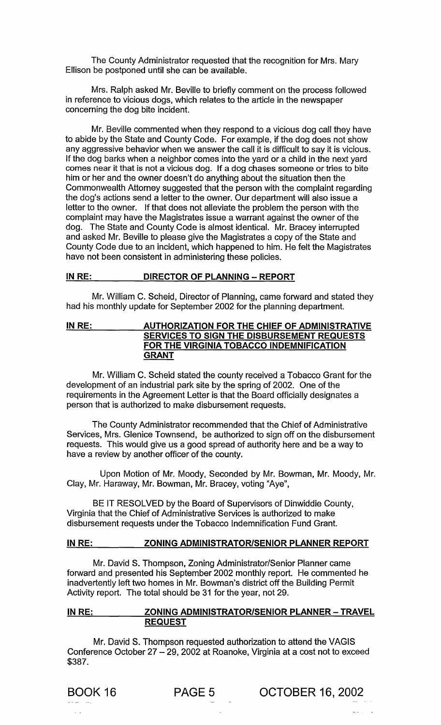The County Administrator requested that the recognition for Mrs. Mary Ellison be postponed until she can be available.

Mrs. Ralph asked Mr. Beville to briefly comment on the process followed in reference to vicious dogs, which relates to the article in the newspaper concerning the dog bite incident.

Mr. Beville commented when they respond to a vicious dog call they have to abide by the State and County Code. For example, if the dog does not show any aggressive behavior when we answer the call it is difficult to say it is vicious. If the dog barks when a neighbor comes into the yard or a child in the next yard comes near it that is not a vicious dog. If a dog chases someone or tries to bite him or her and the owner doesn't do anything about the situation then the Commonwealth Attorney suggested that the person with the complaint regarding the dog's actions send a letter to the owner. Our department will also issue a letter to the owner. If that does not alleviate the problem the person with the complaint may have the Magistrates issue a warrant against the owner of the dog. The State and County Code is almost identical. Mr. Bracey interrupted and asked Mr. Beville to please give the Magistrates a copy of the State and County Code due to an incident, which happened to him. He felt the Magistrates have not been consistent in administering these policies.

# IN RE: DIRECTOR OF PLANNING - REPORT

Mr. William C. Scheid, Director of Planning, came forward and stated they had his monthly update for September 2002 for the planning department.

# IN RE: AUTHORIZATION FOR THE CHIEF OF ADMINISTRATIVE SERVICES TO SIGN THE DISBURSEMENT REQUESTS FOR THE VIRGINIA TOBACCO INDEMNIFICATION GRANT

Mr. William C. Scheid stated the county received a Tobacco Grant for the development of an industrial park site by the spring of 2002. One of the requirements in the Agreement Letter is that the Board officially designates a person that is authorized to make disbursement requests.

The County Administrator recommended that the Chief of Administrative Services, Mrs. Glenice Townsend, be authorized to sign off on the disbursement requests. This would give us a good spread of authority here and be a way to have a review by another officer of the county.

Upon Motion of Mr. Moody, Seconded by Mr. Bowman, Mr. Moody, Mr. Clay, Mr. Haraway, Mr. Bowman, Mr. Bracey, voting "Aye",

BE IT RESOLVED by the Board of Supervisors of Dinwiddie County, Virginia that the Chief of Administrative Services is authorized to make disbursement requests under the Tobacco Indemnification Fund Grant.

# IN RE: ZONING ADMINISTRATOR/SENIOR PLANNER REPORT

Mr. David S. Thompson, Zoning Administrator/Senior Planner came forward and presented his September 2002 monthly report. He commented he inadvertently left two homes in Mr. Bowman's district off the Building Permit Activity report. The total should be 31 for the year, not 29.

# IN RE: ZONING ADMINISTRATOR/SENIOR PLANNER - TRAVEL REQUEST

Mr. David S. Thompson requested authorization to attend the VAGIS Conference October  $27 - 29$ , 2002 at Roanoke, Virginia at a cost not to exceed \$387.

BOOK 16 PAGE 5 OCTOBER 16, 2002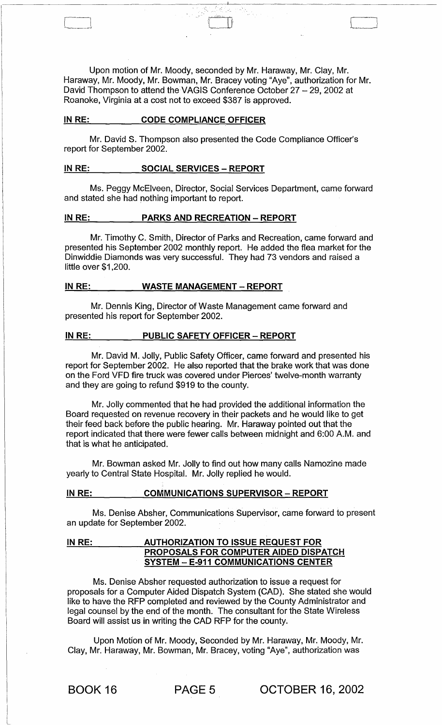Upon motion of Mr. Moody, seconded by Mr. Haraway, Mr. Clay, Mr. Haraway, Mr. Moody, Mr. Bowman, Mr. Bracey voting "Aye", authorization for Mr. David Thompson to attend the VAGIS Conference October 27 - 29, 2002 at Roanoke, Virginia at a cost not to exceed \$387 is approved.

 $\Box$ 

#### IN RE: CODE COMPLIANCE OFFICER

Mr. David S. Thompson also presented the Code Compliance Officer's report for September 2002.

# IN RE: SOCIAL SERVICES - REPORT

Ms. Peggy McElveen, Director, Social Services Department, came forward and stated she had nothing important to report.

#### IN RE: PARKS AND RECREATION - REPORT

Mr. Timothy C. Smith, Director of Parks and Recreation, came forward and presented his September 2002 monthly report. He added the flea market for the Dinwiddie Diamonds was very successful. They had 73 vendors and raised a little over \$1,200.

# IN RE: WASTE MANAGEMENT - REPORT

Mr. Dennis King, Director of Waste Management came forward and presented his report for September 2002.

#### IN RE: PUBLIC SAFETY OFFICER - REPORT

Mr. David M. Jolly, Public Safety Officer, came forward and presented his report for September 2002. He also reported that the brake work that was done on the Ford VFD fire truck was covered under Pierces' twelve-month warranty and they are going to refund \$919 to the county.

Mr. Jolly commented that he had provided the additional information the Board requested on revenue recovery in their packets and he would like to get their feed back before the public hearing. Mr. Haraway pointed out that the report indicated that there were fewer calls between midnight and 6:00 A.M. and that is what he anticipated.

Mr. Bowman asked Mr. Jolly to find out how many calls Namozine made yearly to Central State Hospital. Mr. Jolly replied he would.

# IN RE: \_ \_ \_ \_ COMMUNICATIONS SUPERVISOR - REPORT

Ms. Denise Absher, Communications Supervisor, came forward to present an update for September 2002.

## IN RE: **AUTHORIZATION TO ISSUE REQUEST FOR** PROPOSALS FOR COMPUTER AIDED DISPATCH SYSTEM - E-911 COMMUNICATIONS CENTER

Ms. Denise Absher requested authorization to issue a request for proposals for a Computer Aided Dispatch System (CAD). She stated she would like to have the RFP completed and reviewed by the County Administrator and legal counsel by the end of the month. The consultant for the State Wireless Board will assist us in writing the CAD RFP for the county.

Upon Motion of Mr. Moody, Seconded by Mr. Haraway, Mr. Moody, Mr. Clay, Mr. Haraway, Mr. Bowman, Mr. Bracey, voting "Aye", authorization was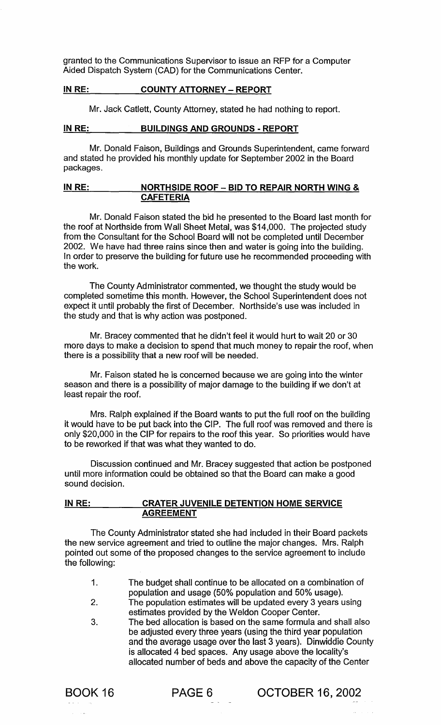granted to the Communications Supervisor to issue an RFP for a Computer Aided Dispatch System (CAD) for the Communications Center.

# IN RE: COUNTY ATTORNEY - REPORT

Mr. Jack Catlett, County Attorney, stated he had nothing to report.

# IN RE: BUILDINGS AND GROUNDS - REPORT

Mr. Donald Faison, Buildings and Grounds Superintendent, came forward and stated he provided his monthly update for September 2002 in the Board packages.

# IN RE: NORTHSIDE ROOF - BID TO REPAIR NORTH WING & CAFETERIA

Mr. Donald Faison stated the bid he presented to the Board last month for the roof at Northside from Wall Sheet Metal, was \$14,000. The projected study from the Consultant for the School Board will not be completed until December 2002. We have had three rains since then and water is going into the building. In order to preserve the building for future use he recommended proceeding with the work.

The County Administrator commented, we thought the study would be completed sometime this month. However, the School Superintendent does not expect it until probably the first of December. Northside's use was included in the study and that is why action was postponed.

Mr. Bracey commented that he didn't feel it would hurt to wait 20 or 30 more days to make a decision to spend that much money to repair the roof, when there is a possibility that a new roof will be needed.

Mr. Faison stated he is concerned because we are going into the winter season and there is a possibility of major damage to the building if we don't at least repair the roof.

Mrs. Ralph explained if the Board wants to put the full roof on the building it would have to be put back into the CIP. The full roof was removed and there is only \$20,000 in the CIP for repairs to the roof this year. So priorities would have to be reworked if that was what they wanted to do.

Discussion continued and Mr. Bracey suggested that action be postponed until more information could be obtained so that the Board can make a good sound decision.

# IN RE: CRATER JUVENILE DETENTION HOME SERVICE AGREEMENT

The County Administrator stated she had included in their Board packets the new service agreement and tried to outline the major changes. Mrs. Ralph pointed out some of the proposed changes to the service agreement to include the following:

- 1. The budget shall continue to be allocated on a combination of population and usage (50% population and 50% usage).
- 2. The population estimates will be updated every 3 years using estimates provided by the Weldon Cooper Center.
- 3. The bed allocation is based on the same formula and shall also be adjusted every three years (using the third year population and the average usage over the last 3 years). Dinwiddie County is allocated 4 bed spaces. Any usage above the locality's allocated number of beds and above the capacity of the Center

BOOK 16 **PAGE 6** OCTOBER 16, 2002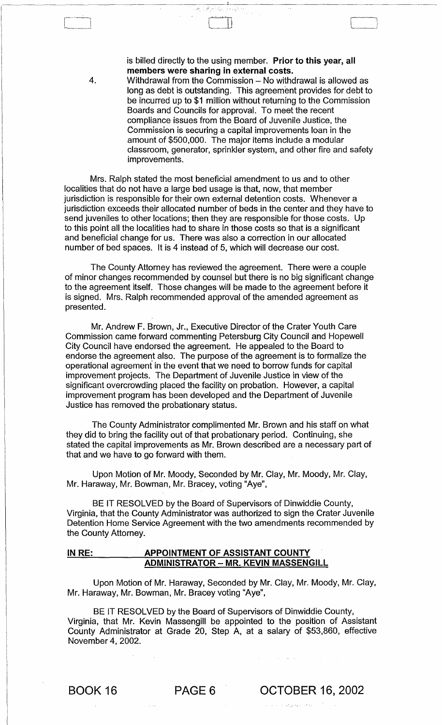is billed directly to the using member. Prior to this year, all members were sharing in external costs.

4. Withdrawal from the Commission – No withdrawal is allowed as long as debt is outstanding. This agreement provides for debt to be incurred up to \$1 million without returning to the Commission Boards and Councils for approval. To meet the recent compliance issues from the Board of Juvenile Justice, the Commission is securing a capital improvements loan in the amount of \$500,000. The major items include a modular classroom, generator, sprinkler system, and other fire and safety improvements.

Mrs. Ralph stated the most beneficial amendment to us and to other localities that do not have a large bed usage is that, now, that member jurisdiction is responsible for their own external detention costs. Whenever a jurisdiction exceeds their allocated number of beds in the center and they have to send juveniles to other locations; then they are responsible for those costs. Up to this point all the localities had to share in those costs so that is a significant and beneficial change for us. There was also a correction in our allocated number of bed spaces. It is 4 instead of 5, which will decrease our cost.

The County Attorney has reviewed the agreement. There were a couple of minor changes recommended by counsel but there is no big significant change to the agreement itself. Those changes will be made to the agreement before it is signed. Mrs. Ralph recommended approval of the amended agreement as presented.

Mr. Andrew F. Brown, Jr., Executive Director of the Crater Youth Care Commission came forward commenting Petersburg City Council and Hopewell City Council have endorsed the agreement. He appealed to the Board to endorse the agreement also. The purpose of the agreement is to formalize the operational agreement in the event that we need to borrow funds for capital improvement projects. The Department of Juvenile Justice in view of the significant overcrowding placed the facility on probation. However, a capital improvement program has been developed and the Department of Juvenile Justice has removed the probationary status.

The County Administrator complimented Mr. Brown and his staff on what they did to bring the facility out of that probationary period. Continuing, she stated the capital improvements as Mr. Brown described are a necessary part of that and we have to go forward with them.

Upon Motion of Mr. Moody, Seconded by Mr. Clay, Mr. Moody, Mr. Clay, Mr. Haraway, Mr. Bowman, Mr. Bracey, voting "Aye",

BE IT RESOLVED by the Board of Supervisors of Dinwiddie County, Virginia, that the County Administrator was authorized to sign the Crater Juvenile Detention Home Service Agreement with the two amendments recommended by the County Attorney.

## IN RE: APPOINTMENT OF ASSISTANT COUNTY ADMINISTRATOR - MR. KEVIN MASSENGILL

Upon Motion of Mr. Haraway, Seconded by Mr. Clay, Mr. Moody, Mr. Clay, Mr. Haraway, Mr. Bowman, Mr. Bracey voting "Aye",

BE IT RESOLVED by the Board of Supervisors of Dinwiddie County, Virginia, that Mr. Kevin Massengill be appointed to the position of Assistant County Administrator at Grade 20, Step A, at a salary of \$53,860, effective November 4, 2002.

,'" "

BOOK 16 PAGE 6 OCTOBER 16, 2002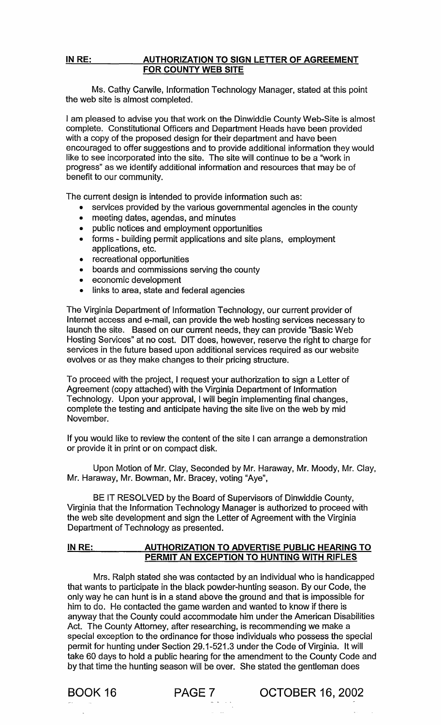# IN RE: AUTHORIZATION TO SIGN LETTER OF AGREEMENT FOR COUNTY WEB SITE

Ms. Cathy Carwile, Information Technology Manager, stated at this point the web site is almost completed.

I am pleased to advise you that work on the Dinwiddie County Web-Site is almost complete. Constitutional Officers and Department Heads have been provided with a copy of the proposed design for their department and have been encouraged to offer suggestions and to provide additional information they would like to see incorporated into the site. The site will continue to be a "work in progress" as we identify additional information and resources that may be of benefit to our community.

The current design is intended to provide information such as:

- services provided by the various governmental agencies in the county
- meeting dates, agendas, and minutes
- public notices and employment opportunities
- forms building permit applications and site plans, employment applications, etc.
- recreational opportunities
- boards and commissions serving the county
- economic development
- links to area, state and federal agencies

The Virginia Department of Information Technology, our current provider of Internet access and e-mail, can provide the web hosting services necessary to launch the site. Based on our current needs, they can provide "Basic Web Hosting Services" at no cost. DIT does, however, reserve the right to charge for services in the future based upon additional services required as our website evolves or as they make changes to their pricing structure.

To proceed with the project, I request your authorization to sign a Letter of Agreement (copy attached) with the Virginia Department of Information Technology. Upon your approval, I will begin implementing final changes, complete the testing and anticipate having the site live on the web by mid November.

If you would like to review the content of the site I can arrange a demonstration or provide it in print or on compact disk.

Upon Motion of Mr. Clay, Seconded by Mr. Haraway, Mr. Moody, Mr. Clay, Mr. Haraway, Mr. Bowman, Mr. Bracey, voting "Aye",

BE IT RESOLVED by the Board of Supervisors of Dinwiddie County, Virginia that the Information Technology Manager is authorized to proceed with the web site development and sign the Letter of Agreement with the Virginia Department of Technology as presented.

# IN RE: AUTHORIZATION TO ADVERTISE PUBLIC HEARING TO PERMIT AN EXCEPTION TO HUNTING WITH RIFLES

Mrs. Ralph stated she was contacted by an individual who is handicapped that wants to participate in the black powder-hunting season. By our Code, the only way he can hunt is in a stand above the ground and that is impossible for him to do. He contacted the game warden and wanted to know if there is anyway that the County could accommodate him under the American Disabilities Act. The County Attorney, after researching, is recommending we make a special exception to the ordinance for those individuals who possess the special permit for hunting under Section 29.1-521.3 under the Code of Virginia. It will take 60 days to hold a public hearing for the amendment to the County Code and by that time the hunting season will be over. She stated the gentleman does

BOOK 16 **PAGE 7** OCTOBER 16, 2002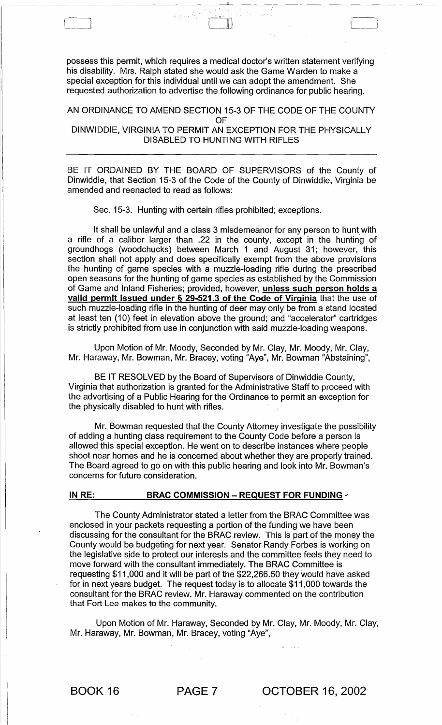possess this permit, which requires a medical doctor's written statement verifying his disability. Mrs. Ralph stated she would ask the Game Warden to make a special exception for this individual until we can adopt the amendment. She requested authorization to advertise the following ordinance for public hearing.

"\ j --

~---~~~~~~-~~-----------:----------'~--

AN ORDINANCE TO AMEND SECTION 15-3 OF THE CODE OF THE COUNTY OF DINWIDDIE, VIRGINIA TO PERMIT AN EXCEPTION FOR THE PHYSICALLY DISABLED TO HUNTING WITH RIFLES

BE IT ORDAINED BY THE BOARD OF SUPERVISORS of the County of Dinwiddie, that Section 15-3 of the Code of the County of Dinwiddie, Virginia be amended and reenacted to read as follows:

Sec. 15-3. Hunting with certain rifles prohibited; exceptions.

It shall be unlawful and a class 3 misdemeanor for any person to hunt with a rifle of a caliber larger than .22 in the county, except in the hunting of groundhogs (woodchucks) between March 1 and August 31; however, this section shall not apply and does specifically exempt from the above provisions the hunting of game species with a muzzle-loading rifle during the prescribed open seasons for the hunting of game species as established by the Commission of Game and Inland Fisheries; provided, however, unless such person holds a valid permit issued under § 29-521.3 of the Code of Virginia that the use of such muzzle-loading rifle in the hunting of deer may only be from a stand located at least ten (10) feet in elevation above the ground; and "accelerator" cartridges is strictly prohibited from use in conjunction with said muzzle-loading weapons.

Upon Motion of Mr. Moody, Seconded by Mr. Clay, Mr. Moody, Mr. Clay, Mr. Haraway, Mr. Bowman, Mr. Bracey, voting "Aye", Mr. Bowman "Abstaining",

BE IT RESOLVED by the Board of Supervisors of Dinwiddie County, Virginia that authorization is granted for the Administrative Staff to proceed with the advertising of a Public Hearing for the Ordinance to permit an exception for the physically disabled to hunt with rifles.

Mr. Bowman requested that the County Attorney investigate the possibility of adding a hunting class requirement to the County Code before a person is allowed this special exception. He went on to describe instances where people shoot near homes and he is concerned about whether they are properly trained. The Board agreed to go on with this public hearing and look into Mr. Bowman's concerns for future consideration.

#### IN  $RE:$  BRAC COMMISSION - REQUEST FOR FUNDING  $\sim$

The County Administrator stated a letter from the BRAC Committee was enclosed in your packets requesting a portion of the funding we have been discussing for the consultant for the BRAC review. This is part of the money the County would be budgeting for next year. Senator Randy Forbes is working on the legislative side to protect our interests and the committee feels they need to move forward with the consultant immediately. The BRAC Committee is requesting \$11,000 and it will be part of the \$22,266.50 they would have asked for in next years budget. The request today is to allocate \$11,000 towards the consultant for the BRAC review. Mr. Haraway commented on the contribution that Fort Lee makes to the community.

Upon Motion of Mr. Haraway, Seconded by Mr. Clay, Mr. Moody, Mr. Clay, Mr. Haraway, Mr. Bowman, Mr. Bracey, voting "Aye",

BOOK 16 PAGE 7 OCTOBER 16, 2002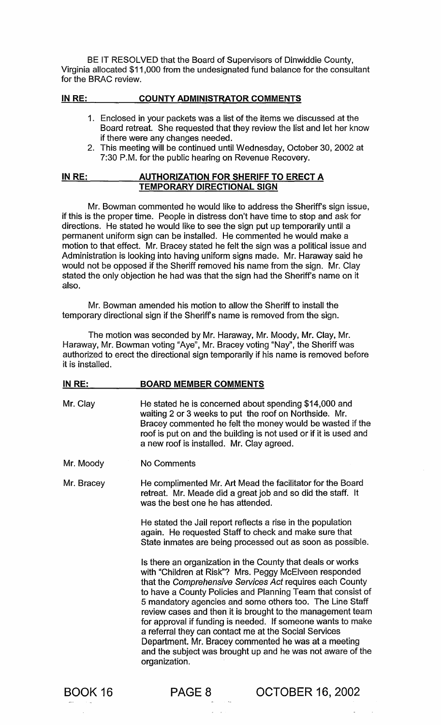BE IT RESOLVED that the Board of Supervisors of Dinwiddie County, Virginia allocated \$11,000 from the undesignated fund balance for the consultant for the BRAC review.

#### IN RE: COUNTY ADMINISTRATOR COMMENTS

- 1. Enclosed in your packets was a list of the items we discussed at the Board retreat. She requested that they review the list and let her know if there were any changes needed.
- 2. This meeting will be continued until Wednesday, October 30,2002 at 7:30 P.M. for the public hearing on Revenue Recovery.

#### IN RE: AUTHORIZATION FOR SHERIFF TO ERECT A TEMPORARY DIRECTIONAL SIGN

Mr. Bowman commented he would like to address the Sheriff's sign issue, if this is the proper time. People in distress don't have time to stop and ask for directions. He stated he would like to see the sign put up temporarily until a permanent uniform sign can be installed. He commented he would make a motion to that effect. Mr. Bracey stated he felt the sign was a political issue and Administration is looking into having uniform signs made. Mr. Haraway said he would not be opposed if the Sheriff removed his name from the sign. Mr. Clay stated the only objection he had was that the sign had the Sheriff's name on it also.

Mr. Bowman amended his motion to allow the Sheriff to install the temporary directional sign if the Sheriffs name is removed from the sign.

The motion was seconded by Mr. Haraway, Mr. Moody, Mr. Clay, Mr. Haraway, Mr. Bowman voting "Aye", Mr. Bracey voting "Nay", the Sheriff was authorized to erect the directional sign temporarily if his name is removed before it is installed.

#### IN RE: BOARD MEMBER COMMENTS

- Mr. Clay He stated he is concerned about spending \$14,000 and waiting 2 or 3 weeks to put the roof on Northside. Mr. Bracey commented he felt the money would be wasted if the roof is put on and the building is not used or if it is used and a new roof is installed. Mr. Clay agreed.
- Mr. Moody No Comments

Mr. Bracey He complimented Mr. Art Mead the facilitator for the Board retreat. Mr. Meade did a great job and so did the staff. It was the best one he has attended.

> He stated the Jail report reflects a rise in the population again. He requested Staff to check and make sure that State inmates are being processed out as soon as possible.

Is there an organization in the County that deals or works with "Children at Risk"? Mrs. Peggy McElveen responded that the Comprehensive Services Act requires each County to have a County Policies and Planning Team that consist of 5 mandatory agencies and some others too. The Line Staff review cases and then it is brought to the management team for approval if funding is needed. If someone wants to make a referral they can contact me at the Social Services Department. Mr. Bracey commented he was at a meeting and the subject was brought up and he was not aware of the organization.

BOOK 16

PAGE 8 OCTOBER 16, 2002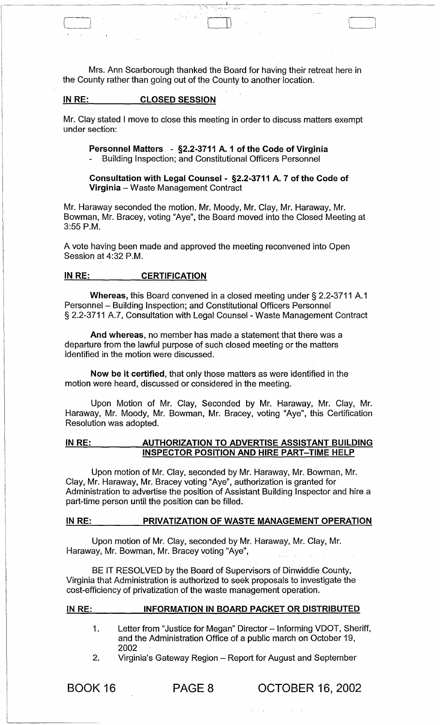Mrs. Ann Scarborough thanked the Board for having their retreat here in the County rather than going out of the County to another location.

 $\mathcal{L}^{\text{max}}_{\text{c}}$  ,  $\mathcal{L}^{\text{max}}_{\text{c}}$  ,  $\mathcal{L}^{\text{max}}_{\text{c}}$  ,  $\mathcal{L}^{\text{max}}_{\text{c}}$ 

# INRE: CLOSED SESSION

 $\mathbf{I}$  ) is the interval of  $\mathbf{I}$  (i.e.,  $\mathbf{I}$ 

Mr. Clay stated I move to close this meeting in order to discuss matters exempt under section:

Personnel Matters - §2.2-3711 A. 1 of the Code of Virginia Building Inspection; and Constitutional Officers Personnel

Consultation with Legal Counsel - §2.2-3711 A. 7 of the Code of Virginia - Waste Management Contract

Mr. Haraway seconded the motion. Mr. Moody, Mr. Clay, Mr. Haraway, Mr. Bowman, Mr. Bracey, voting "Aye", the Board moved into the Closed Meeting at 3:55 P.M.

A vote having been made and approved the meeting reconvened into Open Session at 4:32 P.M.

#### IN RE: CERTIFICATION

Whereas, this Board convened in a closed meeting under § 2.2-3711 A.1 Personnel - Building Inspection; and Constitutional Officers Personnel § 2.2-3711 A.7, Consultation with Legal Counsel - Waste Management Contract

And whereas, no member has made a statement that there was a departure from the lawful purpose of such closed meeting or the matters identified in the motion were discussed.

Now be it certified, that only those matters as were identified in the motion were heard, discussed or considered in the meeting.

Upon Motion of Mr. Clay, Seconded by Mr. Haraway, Mr. Clay, Mr. Haraway, Mr. Moody, Mr. Bowman, Mr. Bracey, voting "Aye", this Certification Resolution was adopted.

IN RE: AUTHORIZATION TO ADVERTISE ASSISTANT BUILDING INSPECTOR POSITION AND HIRE PART-TIME HELP

Upon motion of Mr. Clay, seconded by Mr. Haraway, Mr. Bowman, Mr. Clay, Mr. Haraway, Mr. Bracey voting "Aye", authorization is granted for Administration to advertise the position of Assistant Building Inspector and hire a part-time person until the position can be filled.

# IN RE: PRIVATIZATION OF WASTE MANAGEMENT OPERATION

Upon motion of Mr. Clay, seconded by Mr. Haraway, Mr. Clay, Mr. Haraway, Mr. Bowman, Mr. Bracey voting "Aye",

BE IT RESOLVED by the Board of Supervisors of Dinwiddie County, Virginia that Administration is authorized to seek proposals to investigate the cost-efficiency of privatization of the waste management operation.

#### IN RE: INFORMATION IN BOARD PACKET OR DISTRIBUTED

- 1. Letter from "Justice for Megan" Director - Informing VDOT, Sheriff, and the Administration Office of a public march on October 19, 2002
- 2. Virginia's Gateway Region - Report for August and September

BOOK 16

PAGE 8 OCTOBER 16, 2002